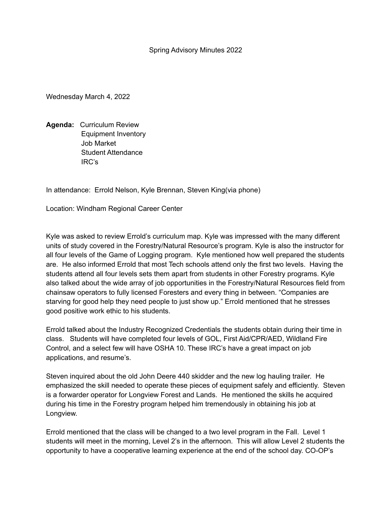Wednesday March 4, 2022

**Agenda:** Curriculum Review Equipment Inventory Job Market Student Attendance IRC's

In attendance: Errold Nelson, Kyle Brennan, Steven King(via phone)

Location: Windham Regional Career Center

Kyle was asked to review Errold's curriculum map. Kyle was impressed with the many different units of study covered in the Forestry/Natural Resource's program. Kyle is also the instructor for all four levels of the Game of Logging program. Kyle mentioned how well prepared the students are. He also informed Errold that most Tech schools attend only the first two levels. Having the students attend all four levels sets them apart from students in other Forestry programs. Kyle also talked about the wide array of job opportunities in the Forestry/Natural Resources field from chainsaw operators to fully licensed Foresters and every thing in between. "Companies are starving for good help they need people to just show up." Errold mentioned that he stresses good positive work ethic to his students.

Errold talked about the Industry Recognized Credentials the students obtain during their time in class. Students will have completed four levels of GOL, First Aid/CPR/AED, Wildland Fire Control, and a select few will have OSHA 10. These IRC's have a great impact on job applications, and resume's.

Steven inquired about the old John Deere 440 skidder and the new log hauling trailer. He emphasized the skill needed to operate these pieces of equipment safely and efficiently. Steven is a forwarder operator for Longview Forest and Lands. He mentioned the skills he acquired during his time in the Forestry program helped him tremendously in obtaining his job at Longview.

Errold mentioned that the class will be changed to a two level program in the Fall. Level 1 students will meet in the morning, Level 2's in the afternoon. This will allow Level 2 students the opportunity to have a cooperative learning experience at the end of the school day. CO-OP's